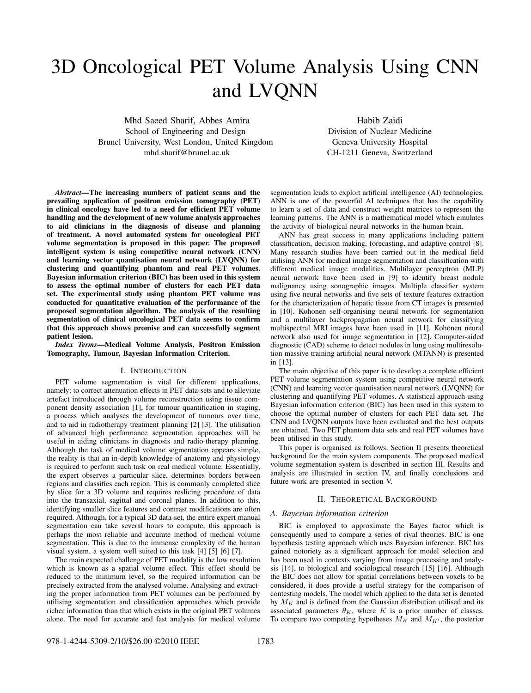# 3D Oncological PET Volume Analysis Using CNN and LVQNN

Mhd Saeed Sharif, Abbes Amira School of Engineering and Design Brunel University, West London, United Kingdom mhd.sharif@brunel.ac.uk

Habib Zaidi Division of Nuclear Medicine Geneva University Hospital CH-1211 Geneva, Switzerland

*Abstract***—The increasing numbers of patient scans and the prevailing application of positron emission tomography (PET) in clinical oncology have led to a need for efficient PET volume handling and the development of new volume analysis approaches to aid clinicians in the diagnosis of disease and planning of treatment. A novel automated system for oncological PET volume segmentation is proposed in this paper. The proposed intelligent system is using competitive neural network (CNN) and learning vector quantisation neural network (LVQNN) for clustering and quantifying phantom and real PET volumes. Bayesian information criterion (BIC) has been used in this system to assess the optimal number of clusters for each PET data set. The experimental study using phantom PET volume was conducted for quantitative evaluation of the performance of the proposed segmentation algorithm. The analysis of the resulting segmentation of clinical oncological PET data seems to confirm that this approach shows promise and can successfully segment patient lesion.**

*Index Terms***—Medical Volume Analysis, Positron Emission Tomography, Tumour, Bayesian Information Criterion.**

#### I. INTRODUCTION

PET volume segmentation is vital for different applications, namely; to correct attenuation effects in PET data-sets and to alleviate artefact introduced through volume reconstruction using tissue component density association [1], for tumour quantification in staging, a process which analyses the development of tumours over time, and to aid in radiotherapy treatment planning [2] [3]. The utilisation of advanced high performance segmentation approaches will be useful in aiding clinicians in diagnosis and radio-therapy planning. Although the task of medical volume segmentation appears simple, the reality is that an in-depth knowledge of anatomy and physiology is required to perform such task on real medical volume. Essentially, the expert observes a particular slice, determines borders between regions and classifies each region. This is commonly completed slice by slice for a 3D volume and requires reslicing procedure of data into the transaxial, sagittal and coronal planes. In addition to this, identifying smaller slice features and contrast modifications are often required. Although, for a typical 3D data-set, the entire expert manual segmentation can take several hours to compute, this approach is perhaps the most reliable and accurate method of medical volume segmentation. This is due to the immense complexity of the human visual system, a system well suited to this task [4] [5] [6] [7].

The main expected challenge of PET modality is the low resolution which is known as a spatial volume effect. This effect should be reduced to the minimum level, so the required information can be precisely extracted from the analysed volume. Analysing and extracting the proper information from PET volumes can be performed by utilising segmentation and classification approaches which provide richer information than that which exists in the original PET volumes alone. The need for accurate and fast analysis for medical volume

segmentation leads to exploit artificial intelligence (AI) technologies. ANN is one of the powerful AI techniques that has the capability to learn a set of data and construct weight matrices to represent the learning patterns. The ANN is a mathematical model which emulates the activity of biological neural networks in the human brain.

ANN has great success in many applications including pattern classification, decision making, forecasting, and adaptive control [8]. Many research studies have been carried out in the medical field utilising ANN for medical image segmentation and classification with different medical image modalities. Multilayer perceptron (MLP) neural network have been used in [9] to identify breast nodule malignancy using sonographic images. Multiple classifier system using five neural networks and five sets of texture features extraction for the characterization of hepatic tissue from CT images is presented in [10]. Kohonen self-organising neural network for segmentation and a multilayer backpropagation neural network for classifying multispectral MRI images have been used in [11]. Kohonen neural network also used for image segmentation in [12]. Computer-aided diagnostic (CAD) scheme to detect nodules in lung using multiresolution massive training artificial neural network (MTANN) is presented in [13].

The main objective of this paper is to develop a complete efficient PET volume segmentation system using competitive neural network (CNN) and learning vector quantisation neural network (LVQNN) for clustering and quantifying PET volumes. A statistical approach using Bayesian information criterion (BIC) has been used in this system to choose the optimal number of clusters for each PET data set. The CNN and LVQNN outputs have been evaluated and the best outputs are obtained. Two PET phantom data sets and real PET volumes have been utilised in this study.

This paper is organised as follows. Section II presents theoretical background for the main system components. The proposed medical volume segmentation system is described in section III. Results and analysis are illustrated in section IV, and finally conclusions and future work are presented in section V.

# II. THEORETICAL BACKGROUND

# *A. Bayesian information criterion*

BIC is employed to approximate the Bayes factor which is consequently used to compare a series of rival theories. BIC is one hypothesis testing approach which uses Bayesian inference. BIC has gained notoriety as a significant approach for model selection and has been used in contexts varying from image processing and analysis [14], to biological and sociological research [15] [16]. Although the BIC does not allow for spatial correlations between voxels to be considered, it does provide a useful strategy for the comparison of contesting models. The model which applied to the data set is denoted by M*<sup>K</sup>* and is defined from the Gaussian distribution utilised and its associated parameters  $\theta_K$ , where K is a prior number of classes. To compare two competing hypotheses  $M_K$  and  $M_{K'}$ , the posterior

978-1-4244-5309-2/10/\$26.00 ©2010 IEEE 1783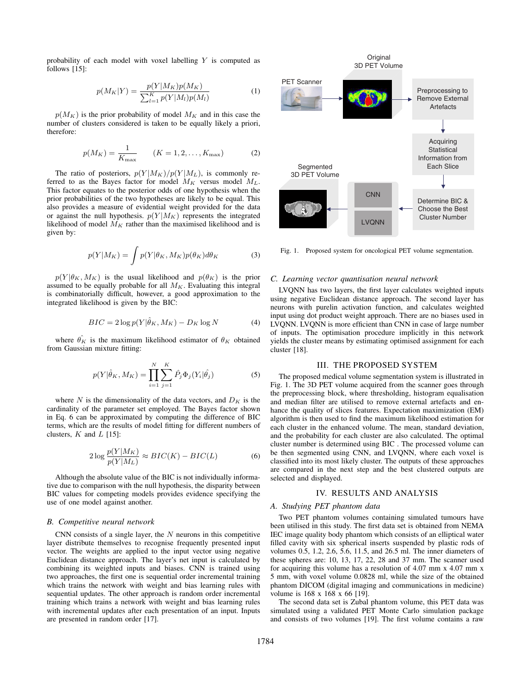probability of each model with voxel labelling Y is computed as follows [15]:

$$
p(M_K|Y) = \frac{p(Y|M_K)p(M_K)}{\sum_{l=1}^K p(Y|M_l)p(M_l)}
$$
(1)

 $p(M_K)$  is the prior probability of model  $M_K$  and in this case the number of clusters considered is taken to be equally likely a priori, therefore:

$$
p(M_K) = \frac{1}{K_{\text{max}}} \qquad (K = 1, 2, \dots, K_{\text{max}})
$$
 (2)

The ratio of posteriors,  $p(Y|M_K)/p(Y|M_L)$ , is commonly referred to as the Bayes factor for model M*<sup>K</sup>* versus model M*L*. This factor equates to the posterior odds of one hypothesis when the prior probabilities of the two hypotheses are likely to be equal. This also provides a measure of evidential weight provided for the data or against the null hypothesis.  $p(Y|M_K)$  represents the integrated likelihood of model M*<sup>K</sup>* rather than the maximised likelihood and is given by:

$$
p(Y|M_K) = \int p(Y|\theta_K, M_K)p(\theta_K)d\theta_K \tag{3}
$$

 $p(Y|\theta_K, M_K)$  is the usual likelihood and  $p(\theta_K)$  is the prior assumed to be equally probable for all  $M_K$ . Evaluating this integral is combinatorially difficult, however, a good approximation to the integrated likelihood is given by the BIC:

$$
BIC = 2\log p(Y|\hat{\theta}_K, M_K) - D_K \log N \tag{4}
$$

where  $\hat{\theta}_K$  is the maximum likelihood estimator of  $\theta_K$  obtained from Gaussian mixture fitting:

$$
p(Y|\hat{\theta}_K, M_K) = \prod_{i=1}^N \sum_{j=1}^K \hat{P}_j \Phi_j(Y_i|\hat{\theta}_j)
$$
 (5)

where  $N$  is the dimensionality of the data vectors, and  $D_K$  is the cardinality of the parameter set employed. The Bayes factor shown in Eq. 6 can be approximated by computing the difference of BIC terms, which are the results of model fitting for different numbers of clusters,  $K$  and  $L$  [15]:

$$
2\log\frac{p(Y|M_K)}{p(Y|M_L)} \approx BIC(K) - BIC(L)
$$
 (6)

Although the absolute value of the BIC is not individually informative due to comparison with the null hypothesis, the disparity between BIC values for competing models provides evidence specifying the use of one model against another.

## *B. Competitive neural network*

CNN consists of a single layer, the  $N$  neurons in this competitive layer distribute themselves to recognise frequently presented input vector. The weights are applied to the input vector using negative Euclidean distance approach. The layer's net input is calculated by combining its weighted inputs and biases. CNN is trained using two approaches, the first one is sequential order incremental training which trains the network with weight and bias learning rules with sequential updates. The other approach is random order incremental training which trains a network with weight and bias learning rules with incremental updates after each presentation of an input. Inputs are presented in random order [17].



Fig. 1. Proposed system for oncological PET volume segmentation.

# *C. Learning vector quantisation neural network*

LVQNN has two layers, the first layer calculates weighted inputs using negative Euclidean distance approach. The second layer has neurons with purelin activation function, and calculates weighted input using dot product weight approach. There are no biases used in LVQNN. LVQNN is more efficient than CNN in case of large number of inputs. The optimisation procedure implicitly in this network yields the cluster means by estimating optimised assignment for each cluster [18].

### III. THE PROPOSED SYSTEM

The proposed medical volume segmentation system is illustrated in Fig. 1. The 3D PET volume acquired from the scanner goes through the preprocessing block, where thresholding, histogram equalisation and median filter are utilised to remove external artefacts and enhance the quality of slices features. Expectation maximization (EM) algorithm is then used to find the maximum likelihood estimation for each cluster in the enhanced volume. The mean, standard deviation, and the probability for each cluster are also calculated. The optimal cluster number is determined using BIC . The processed volume can be then segmented using CNN, and LVQNN, where each voxel is classified into its most likely cluster. The outputs of these approaches are compared in the next step and the best clustered outputs are selected and displayed.

# IV. RESULTS AND ANALYSIS

### *A. Studying PET phantom data*

Two PET phantom volumes containing simulated tumours have been utilised in this study. The first data set is obtained from NEMA IEC image quality body phantom which consists of an elliptical water filled cavity with six spherical inserts suspended by plastic rods of volumes 0.5, 1.2, 2.6, 5.6, 11.5, and 26.5 ml. The inner diameters of these spheres are: 10, 13, 17, 22, 28 and 37 mm. The scanner used for acquiring this volume has a resolution of 4.07 mm x 4.07 mm x 5 mm, with voxel volume 0.0828 ml, while the size of the obtained phantom DICOM (digital imaging and communications in medicine) volume is 168 x 168 x 66 [19].

The second data set is Zubal phantom volume, this PET data was simulated using a validated PET Monte Carlo simulation package and consists of two volumes [19]. The first volume contains a raw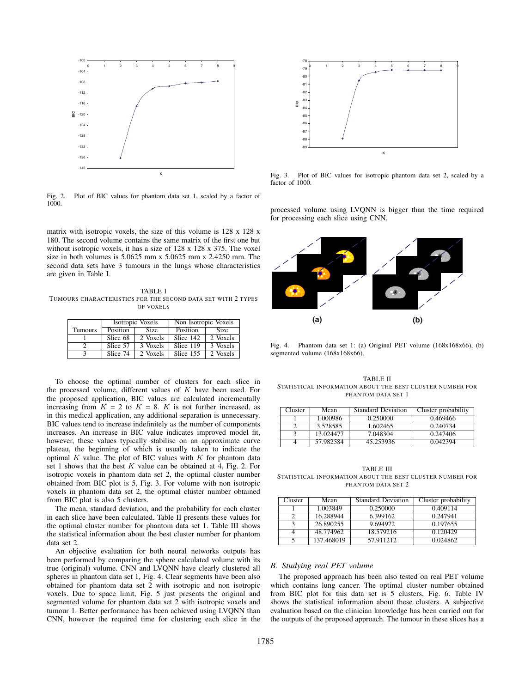

Fig. 2. Plot of BIC values for phantom data set 1, scaled by a factor of 1000.

matrix with isotropic voxels, the size of this volume is 128 x 128 x 180. The second volume contains the same matrix of the first one but without isotropic voxels, it has a size of 128 x 128 x 375. The voxel size in both volumes is 5.0625 mm x 5.0625 mm x 2.4250 mm. The second data sets have 3 tumours in the lungs whose characteristics are given in Table I.

TABLE I TUMOURS CHARACTERISTICS FOR THE SECOND DATA SET WITH 2 TYPES OF VOXELS

|         | Isotropic Voxels |             | Non Isotropic Voxels |          |
|---------|------------------|-------------|----------------------|----------|
| Tumours | Position         | <b>Size</b> | Position             | Size     |
|         | Slice 68         | 2 Voxels    | Slice 142            | 2 Voxels |
|         | Slice 57         | 3 Voxels    | Slice 119            | 3 Voxels |
|         | Slice 74         | 2 Voxels    | Slice 155            | 2 Voxels |

To choose the optimal number of clusters for each slice in the processed volume, different values of  $K$  have been used. For the proposed application, BIC values are calculated incrementally increasing from  $K = 2$  to  $K = 8$ . K is not further increased, as in this medical application, any additional separation is unnecessary. BIC values tend to increase indefinitely as the number of components increases. An increase in BIC value indicates improved model fit, however, these values typically stabilise on an approximate curve plateau, the beginning of which is usually taken to indicate the optimal  $K$  value. The plot of BIC values with  $K$  for phantom data set 1 shows that the best  $K$  value can be obtained at 4, Fig. 2. For isotropic voxels in phantom data set 2, the optimal cluster number obtained from BIC plot is 5, Fig. 3. For volume with non isotropic voxels in phantom data set 2, the optimal cluster number obtained from BIC plot is also 5 clusters.

The mean, standard deviation, and the probability for each cluster in each slice have been calculated. Table II presents these values for the optimal cluster number for phantom data set 1. Table III shows the statistical information about the best cluster number for phantom data set 2.

An objective evaluation for both neural networks outputs has been performed by comparing the sphere calculated volume with its true (original) volume. CNN and LVQNN have clearly clustered all spheres in phantom data set 1, Fig. 4. Clear segments have been also obtained for phantom data set 2 with isotropic and non isotropic voxels. Due to space limit, Fig. 5 just presents the original and segmented volume for phantom data set 2 with isotropic voxels and tumour 1. Better performance has been achieved using LVQNN than CNN, however the required time for clustering each slice in the



Fig. 3. Plot of BIC values for isotropic phantom data set 2, scaled by a factor of 1000.

processed volume using LVQNN is bigger than the time required for processing each slice using CNN.



Fig. 4. Phantom data set 1: (a) Original PET volume (168x168x66), (b) segmented volume (168x168x66).

TABLE II STATISTICAL INFORMATION ABOUT THE BEST CLUSTER NUMBER FOR PHANTOM DATA SET 1

| Cluster | Mean      | <b>Standard Deviation</b> | Cluster probability |
|---------|-----------|---------------------------|---------------------|
|         | 1.000986  | 0.250000                  | 0.469466            |
|         | 3.528585  | 1.602465                  | 0.240734            |
|         | 13.024477 | 7.048304                  | 0.247406            |
|         | 57.982584 | 45.253936                 | 0.042394            |

TABLE III STATISTICAL INFORMATION ABOUT THE BEST CLUSTER NUMBER FOR PHANTOM DATA SET 2

| Cluster | Mean       | <b>Standard Deviation</b> | Cluster probability |
|---------|------------|---------------------------|---------------------|
|         | 1.003849   | 0.250000                  | 0.409114            |
|         | 16.288944  | 6.399162                  | 0.247941            |
| 2       | 26.890255  | 9.694972                  | 0.197655            |
|         | 48.774962  | 18.579216                 | 0.120429            |
|         | 137.468019 | 57.911212                 | 0.024862            |

## *B. Studying real PET volume*

The proposed approach has been also tested on real PET volume which contains lung cancer. The optimal cluster number obtained from BIC plot for this data set is 5 clusters, Fig. 6. Table IV shows the statistical information about these clusters. A subjective evaluation based on the clinician knowledge has been carried out for the outputs of the proposed approach. The tumour in these slices has a